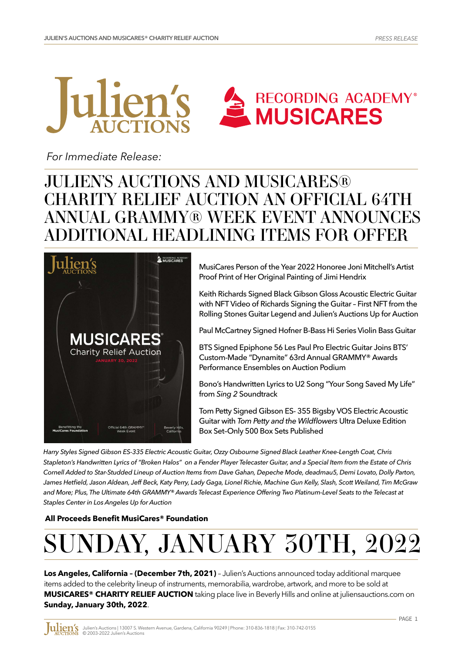



 *For Immediate Release:*

# JULIEN'S AUCTIONS AND MUSICARES® CHARITY RELIEF AUCTION AN OFFICIAL 64TH ANNUAL GRAMMY® WEEK EVENT ANNOUNCES ADDITIONAL HEADLINING ITEMS FOR OFFER



MusiCares Person of the Year 2022 Honoree Joni Mitchell's Artist Proof Print of Her Original Painting of Jimi Hendrix

Keith Richards Signed Black Gibson Gloss Acoustic Electric Guitar with NFT Video of Richards Signing the Guitar – First NFT from the Rolling Stones Guitar Legend and Julien's Auctions Up for Auction

Paul McCartney Signed Hofner B-Bass Hi Series Violin Bass Guitar

BTS Signed Epiphone 56 Les Paul Pro Electric Guitar Joins BTS' Custom-Made "Dynamite" 63rd Annual GRAMMY® Awards Performance Ensembles on Auction Podium

Bono's Handwritten Lyrics to U2 Song "Your Song Saved My Life" from *Sing 2* Soundtrack

Tom Petty Signed Gibson ES- 355 Bigsby VOS Electric Acoustic Guitar with *Tom Petty and the Wildflowers* Ultra Deluxe Edition Box Set–Only 500 Box Sets Published

*Harry Styles Signed Gibson ES-335 Electric Acoustic Guitar, Ozzy Osbourne Signed Black Leather Knee-Length Coat, Chris Stapleton's Handwritten Lyrics of "Broken Halos" on a Fender Player Telecaster Guitar, and a Special Item from the Estate of Chris Cornell Added to Star-Studded Lineup of Auction Items from Dave Gahan, Depeche Mode, deadmau5, Demi Lovato, Dolly Parton, James Hetfield, Jason Aldean, Jeff Beck, Katy Perry, Lady Gaga, Lionel Richie, Machine Gun Kelly, Slash, Scott Weiland, Tim McGraw and More; Plus, The Ultimate 64th GRAMMY® Awards Telecast Experience Offering Two Platinum-Level Seats to the Telecast at Staples Center in Los Angeles Up for Auction*

**[All Proceeds Benefit MusiCares® Foundation](https://www.musicares.org)**

# SUNDAY, JANUARY 30TH, 2022

**Los Angeles, California – (December 7th, 2021)** – Julien's Auctions announced today additional marquee items added to the celebrity lineup of instruments, memorabilia, wardrobe, artwork, and more to be sold at **MUSICARES® CHARITY RELIEF AUCTION** taking place live in Beverly Hills and online at juliensauctions.com on **Sunday, January 30th, 2022**.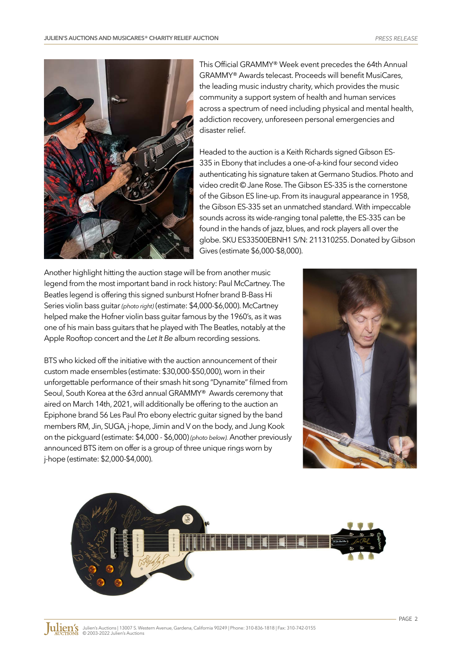

This Official GRAMMY® Week event precedes the 64th Annual GRAMMY® Awards telecast. Proceeds will benefit MusiCares, the leading music industry charity, which provides the music community a support system of health and human services across a spectrum of need including physical and mental health, addiction recovery, unforeseen personal emergencies and disaster relief.

Headed to the auction is a Keith Richards signed Gibson ES-335 in Ebony that includes a one-of-a-kind four second video authenticating his signature taken at Germano Studios. Photo and video credit © Jane Rose. The Gibson ES-335 is the cornerstone of the Gibson ES line-up. From its inaugural appearance in 1958, the Gibson ES-335 set an unmatched standard. With impeccable sounds across its wide-ranging tonal palette, the ES-335 can be found in the hands of jazz, blues, and rock players all over the globe. SKU ES33500EBNH1 S/N: 211310255. Donated by Gibson Gives (estimate \$6,000-\$8,000).

Another highlight hitting the auction stage will be from another music legend from the most important band in rock history: Paul McCartney. The Beatles legend is offering this signed sunburst Hofner brand B-Bass Hi Series violin bass guitar *(photo right)* (estimate: \$4,000-\$6,000). McCartney helped make the Hofner violin bass guitar famous by the 1960's, as it was one of his main bass guitars that he played with The Beatles, notably at the Apple Rooftop concert and the *Let It Be* album recording sessions.

BTS who kicked off the initiative with the auction announcement of their custom made ensembles (estimate: \$30,000-\$50,000), worn in their unforgettable performance of their smash hit song "Dynamite" filmed from Seoul, South Korea at the 63rd annual GRAMMY® Awards ceremony that aired on March 14th, 2021, will additionally be offering to the auction an Epiphone brand 56 Les Paul Pro ebony electric guitar signed by the band members RM, Jin, SUGA, j-hope, Jimin and V on the body, and Jung Kook on the pickguard (estimate: \$4,000 - \$6,000) *(photo below).* Another previously announced BTS item on offer is a group of three unique rings worn by j-hope (estimate: \$2,000-\$4,000).



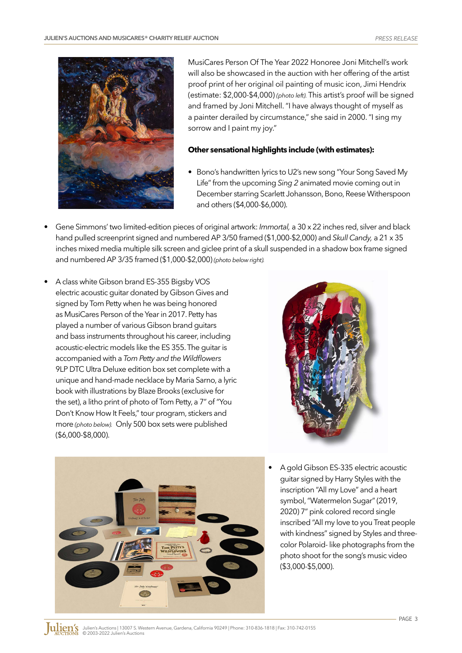

MusiCares Person Of The Year 2022 Honoree Joni Mitchell's work will also be showcased in the auction with her offering of the artist proof print of her original oil painting of music icon, Jimi Hendrix (estimate: \$2,000-\$4,000) *(photo left).* This artist's proof will be signed and framed by Joni Mitchell. "I have always thought of myself as a painter derailed by circumstance," she said in 2000. "I sing my sorrow and I paint my joy."

#### **Other sensational highlights include (with estimates):**

- Bono's handwritten lyrics to U2's new song "Your Song Saved My Life" from the upcoming *Sing 2* animated movie coming out in December starring Scarlett Johansson, Bono, Reese Witherspoon and others (\$4,000-\$6,000).
- Gene Simmons' two limited-edition pieces of original artwork: *Immortal,* a 30 x 22 inches red, silver and black hand pulled screenprint signed and numbered AP 3/50 framed (\$1,000-\$2,000) and *Skull Candy,* a 21 x 35 inches mixed media multiple silk screen and giclee print of a skull suspended in a shadow box frame signed and numbered AP 3/35 framed (\$1,000-\$2,000) *(photo below right).*
- A class white Gibson brand ES-355 Bigsby VOS electric acoustic guitar donated by Gibson Gives and signed by Tom Petty when he was being honored as MusiCares Person of the Year in 2017. Petty has played a number of various Gibson brand guitars and bass instruments throughout his career, including acoustic-electric models like the ES 355. The guitar is accompanied with a *Tom Petty and the Wildflowers* 9LP DTC Ultra Deluxe edition box set complete with a unique and hand-made necklace by Maria Sarno, a lyric book with illustrations by Blaze Brooks (exclusive for the set), a litho print of photo of Tom Petty, a 7" of "You Don't Know How It Feels," tour program, stickers and more *(photo below).* Only 500 box sets were published (\$6,000-\$8,000).



- 
- A gold Gibson ES-335 electric acoustic guitar signed by Harry Styles with the inscription "All my Love" and a heart symbol, "Watermelon Sugar" (2019, 2020) 7" pink colored record single inscribed "All my love to you Treat people with kindness" signed by Styles and threecolor Polaroid- like photographs from the photo shoot for the song's music video (\$3,000-\$5,000).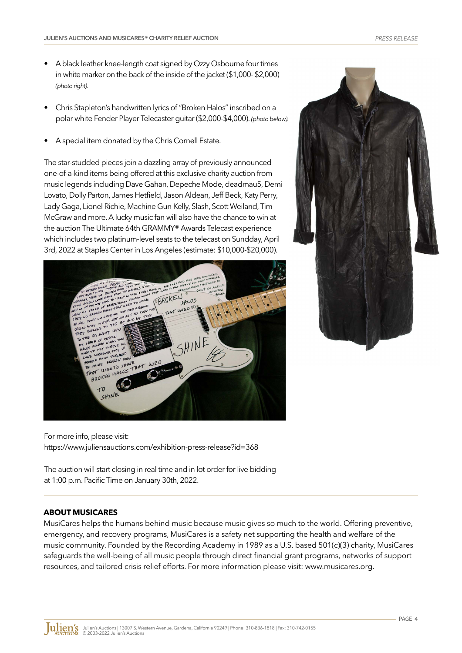- A black leather knee-length coat signed by Ozzy Osbourne four times in white marker on the back of the inside of the jacket (\$1,000- \$2,000) *(photo right).*
- Chris Stapleton's handwritten lyrics of "Broken Halos" inscribed on a polar white Fender Player Telecaster guitar (\$2,000-\$4,000). *(photo below).*
- A special item donated by the Chris Cornell Estate.

The star-studded pieces join a dazzling array of previously announced one-of-a-kind items being offered at this exclusive charity auction from music legends including Dave Gahan, Depeche Mode, deadmau5, Demi Lovato, Dolly Parton, James Hetfield, Jason Aldean, Jeff Beck, Katy Perry, Lady Gaga, Lionel Richie, Machine Gun Kelly, Slash, Scott Weiland, Tim McGraw and more. A lucky music fan will also have the chance to win at the auction The Ultimate 64th GRAMMY® Awards Telecast experience which includes two platinum-level seats to the telecast on Sundday, April 3rd, 2022 at Staples Center in Los Angeles (estimate: \$10,000-\$20,000).





For more info, please visit: ht[tps://www.juliensauctions.com/exhibition-press-release?id=368](https://www.juliensauctions.com/exhibition-press-release?id=368)

The auction will start closing in real time and in lot order for live bidding at 1:00 p.m. Pacific Time on January 30th, 2022.

# **ABOUT MUSICARES**

MusiCares helps the humans behind music because music gives so much to the world. Offering preventive, emergency, and recovery programs, MusiCares is a safety net supporting the health and welfare of the music community. Founded by the Recording Academy in 1989 as a U.S. based 501(c)(3) charity, MusiCares safeguards the well-being of all music pe[ople through direct financial grant programs, networks of support](https://www.musicares.org)  resources, and tailored crisis relief efforts. For more information please visit: www.musicares.org.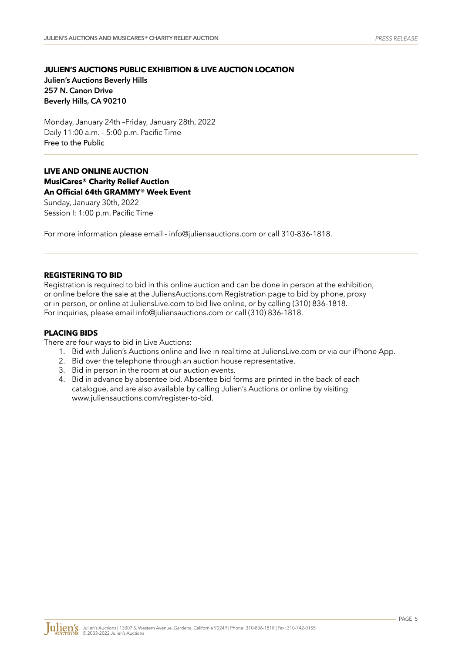## **JULIEN'S AUCTIONS PUBLIC EXHIBITION & LIVE AUCTION LOCATION Julien's Auctions Beverly Hills 257 N. Canon Drive Beverly Hills, CA 90210**

Monday, January 24th –Friday, January 28th, 2022 Daily 11:00 a.m. – 5:00 p.m. Pacific Time Free to the Public

# **LIVE AND ONLINE AUCTION MusiCares® Charity Relief Auction An Official 64th GRAMMY® Week Event**

Sunday, January 30th, 2022 Session I: 1:00 p.m. Pacific Time

For more information please email - info@juliensauctions.com or call 310-836-1818.

#### **REGISTERING TO BID**

Registration is required to bid in this online auction and can be done in person at the exhibition, or online before the sale at the JuliensAuctions.com Registration page to bid by phone, proxy or in person, or online a[t JuliensLive.com to bid live online,](mailto:info%40juliensauctions.com?subject=) or by calling (310) 836-1818. For inquiries, please email info@juliensauctions.com or call (310) 836-1818.

#### **PLACING BIDS**

There are four ways to bid in Live Auctions:

- 1. Bid with Julien's Auctions online and live in real time at JuliensLive.com or via our iPhone App.
- 2. Bid over the telephone through an auction house representative.
- 3. Bid in person in the room at our auction events.
- 4. Bid in advance by absentee bid. Absentee bid forms are printed in the back of each catalogue, and are also available by calling Julien's Auctions or online by visiting www.juliensauctions.com/register-to-bid.